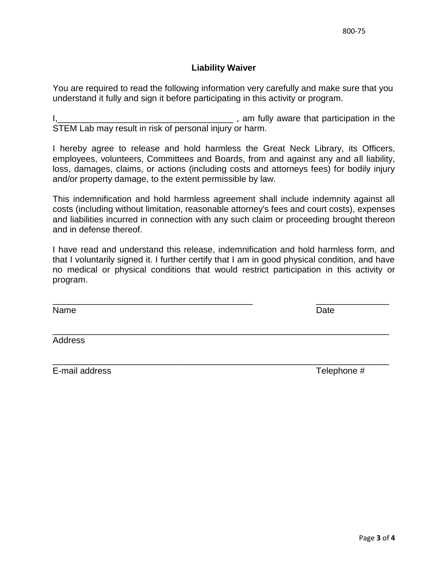## **Liability Waiver**

You are required to read the following information very carefully and make sure that you understand it fully and sign it before participating in this activity or program.

I,\_\_\_\_\_\_\_\_\_\_\_\_\_\_\_\_\_\_\_\_\_\_\_\_\_\_\_\_\_\_\_\_\_\_\_\_ , am fully aware that participation in the STEM Lab may result in risk of personal injury or harm.

I hereby agree to release and hold harmless the Great Neck Library, its Officers, employees, volunteers, Committees and Boards, from and against any and all liability, loss, damages, claims, or actions (including costs and attorneys fees) for bodily injury and/or property damage, to the extent permissible by law.

This indemnification and hold harmless agreement shall include indemnity against all costs (including without limitation, reasonable attorney's fees and court costs), expenses and liabilities incurred in connection with any such claim or proceeding brought thereon and in defense thereof.

I have read and understand this release, indemnification and hold harmless form, and that I voluntarily signed it. I further certify that I am in good physical condition, and have no medical or physical conditions that would restrict participation in this activity or program.

\_\_\_\_\_\_\_\_\_\_\_\_\_\_\_\_\_\_\_\_\_\_\_\_\_\_\_\_\_\_\_\_\_\_\_\_\_\_\_\_\_ \_\_\_\_\_\_\_\_\_\_\_\_\_\_\_

\_\_\_\_\_\_\_\_\_\_\_\_\_\_\_\_\_\_\_\_\_\_\_\_\_\_\_\_\_\_\_\_\_\_\_\_\_\_\_\_\_\_\_\_\_\_\_\_\_\_\_\_\_\_\_\_\_\_\_\_\_\_\_\_\_\_\_\_\_

\_\_\_\_\_\_\_\_\_\_\_\_\_\_\_\_\_\_\_\_\_\_\_\_\_\_\_\_\_\_\_\_\_\_\_\_\_\_\_\_\_\_\_\_\_\_\_\_\_\_\_\_\_\_\_\_\_\_\_\_\_\_\_\_\_\_\_\_\_

Name Date **Date** 

Address

E-mail address Telephone #